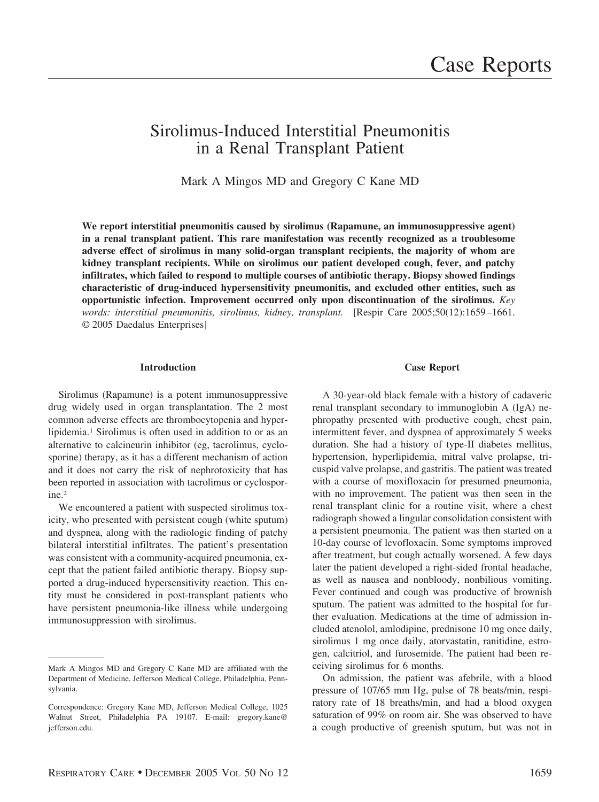# Sirolimus-Induced Interstitial Pneumonitis in a Renal Transplant Patient

Mark A Mingos MD and Gregory C Kane MD

**We report interstitial pneumonitis caused by sirolimus (Rapamune, an immunosuppressive agent) in a renal transplant patient. This rare manifestation was recently recognized as a troublesome adverse effect of sirolimus in many solid-organ transplant recipients, the majority of whom are kidney transplant recipients. While on sirolimus our patient developed cough, fever, and patchy infiltrates, which failed to respond to multiple courses of antibiotic therapy. Biopsy showed findings characteristic of drug-induced hypersensitivity pneumonitis, and excluded other entities, such as opportunistic infection. Improvement occurred only upon discontinuation of the sirolimus.** *Key words: interstitial pneumonitis, sirolimus, kidney, transplant.* [Respir Care 2005;50(12):1659 –1661. © 2005 Daedalus Enterprises]

## **Introduction**

Sirolimus (Rapamune) is a potent immunosuppressive drug widely used in organ transplantation. The 2 most common adverse effects are thrombocytopenia and hyperlipidemia.1 Sirolimus is often used in addition to or as an alternative to calcineurin inhibitor (eg, tacrolimus, cyclosporine) therapy, as it has a different mechanism of action and it does not carry the risk of nephrotoxicity that has been reported in association with tacrolimus or cyclosporine.2

We encountered a patient with suspected sirolimus toxicity, who presented with persistent cough (white sputum) and dyspnea, along with the radiologic finding of patchy bilateral interstitial infiltrates. The patient's presentation was consistent with a community-acquired pneumonia, except that the patient failed antibiotic therapy. Biopsy supported a drug-induced hypersensitivity reaction. This entity must be considered in post-transplant patients who have persistent pneumonia-like illness while undergoing immunosuppression with sirolimus.

### **Case Report**

A 30-year-old black female with a history of cadaveric renal transplant secondary to immunoglobin A (IgA) nephropathy presented with productive cough, chest pain, intermittent fever, and dyspnea of approximately 5 weeks duration. She had a history of type-II diabetes mellitus, hypertension, hyperlipidemia, mitral valve prolapse, tricuspid valve prolapse, and gastritis. The patient was treated with a course of moxifloxacin for presumed pneumonia, with no improvement. The patient was then seen in the renal transplant clinic for a routine visit, where a chest radiograph showed a lingular consolidation consistent with a persistent pneumonia. The patient was then started on a 10-day course of levofloxacin. Some symptoms improved after treatment, but cough actually worsened. A few days later the patient developed a right-sided frontal headache, as well as nausea and nonbloody, nonbilious vomiting. Fever continued and cough was productive of brownish sputum. The patient was admitted to the hospital for further evaluation. Medications at the time of admission included atenolol, amlodipine, prednisone 10 mg once daily, sirolimus 1 mg once daily, atorvastatin, ranitidine, estrogen, calcitriol, and furosemide. The patient had been receiving sirolimus for 6 months.

On admission, the patient was afebrile, with a blood pressure of 107/65 mm Hg, pulse of 78 beats/min, respiratory rate of 18 breaths/min, and had a blood oxygen saturation of 99% on room air. She was observed to have a cough productive of greenish sputum, but was not in

Mark A Mingos MD and Gregory C Kane MD are affiliated with the Department of Medicine, Jefferson Medical College, Philadelphia, Pennsylvania.

Correspondence: Gregory Kane MD, Jefferson Medical College, 1025 Walnut Street, Philadelphia PA 19107. E-mail: gregory.kane@ jefferson.edu.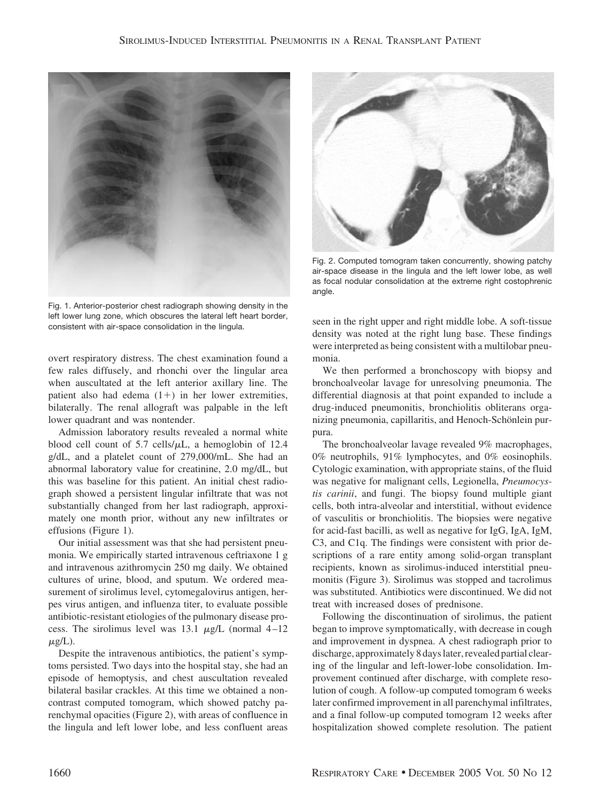

Fig. 1. Anterior-posterior chest radiograph showing density in the left lower lung zone, which obscures the lateral left heart border, consistent with air-space consolidation in the lingula.

overt respiratory distress. The chest examination found a few rales diffusely, and rhonchi over the lingular area when auscultated at the left anterior axillary line. The patient also had edema  $(1+)$  in her lower extremities, bilaterally. The renal allograft was palpable in the left lower quadrant and was nontender.

Admission laboratory results revealed a normal white blood cell count of 5.7 cells/ $\mu$ L, a hemoglobin of 12.4 g/dL, and a platelet count of 279,000/mL. She had an abnormal laboratory value for creatinine, 2.0 mg/dL, but this was baseline for this patient. An initial chest radiograph showed a persistent lingular infiltrate that was not substantially changed from her last radiograph, approximately one month prior, without any new infiltrates or effusions (Figure 1).

Our initial assessment was that she had persistent pneumonia. We empirically started intravenous ceftriaxone 1 g and intravenous azithromycin 250 mg daily. We obtained cultures of urine, blood, and sputum. We ordered measurement of sirolimus level, cytomegalovirus antigen, herpes virus antigen, and influenza titer, to evaluate possible antibiotic-resistant etiologies of the pulmonary disease process. The sirolimus level was 13.1  $\mu$ g/L (normal 4-12  $\mu$ g/L).

Despite the intravenous antibiotics, the patient's symptoms persisted. Two days into the hospital stay, she had an episode of hemoptysis, and chest auscultation revealed bilateral basilar crackles. At this time we obtained a noncontrast computed tomogram, which showed patchy parenchymal opacities (Figure 2), with areas of confluence in the lingula and left lower lobe, and less confluent areas



Fig. 2. Computed tomogram taken concurrently, showing patchy air-space disease in the lingula and the left lower lobe, as well as focal nodular consolidation at the extreme right costophrenic angle.

seen in the right upper and right middle lobe. A soft-tissue density was noted at the right lung base. These findings were interpreted as being consistent with a multilobar pneumonia.

We then performed a bronchoscopy with biopsy and bronchoalveolar lavage for unresolving pneumonia. The differential diagnosis at that point expanded to include a drug-induced pneumonitis, bronchiolitis obliterans organizing pneumonia, capillaritis, and Henoch-Schönlein purpura.

The bronchoalveolar lavage revealed 9% macrophages, 0% neutrophils, 91% lymphocytes, and 0% eosinophils. Cytologic examination, with appropriate stains, of the fluid was negative for malignant cells, Legionella, *Pneumocystis carinii*, and fungi. The biopsy found multiple giant cells, both intra-alveolar and interstitial, without evidence of vasculitis or bronchiolitis. The biopsies were negative for acid-fast bacilli, as well as negative for IgG, IgA, IgM, C3, and C1q. The findings were consistent with prior descriptions of a rare entity among solid-organ transplant recipients, known as sirolimus-induced interstitial pneumonitis (Figure 3). Sirolimus was stopped and tacrolimus was substituted. Antibiotics were discontinued. We did not treat with increased doses of prednisone.

Following the discontinuation of sirolimus, the patient began to improve symptomatically, with decrease in cough and improvement in dyspnea. A chest radiograph prior to discharge, approximately 8 dayslater, revealed partial clearing of the lingular and left-lower-lobe consolidation. Improvement continued after discharge, with complete resolution of cough. A follow-up computed tomogram 6 weeks later confirmed improvement in all parenchymal infiltrates, and a final follow-up computed tomogram 12 weeks after hospitalization showed complete resolution. The patient